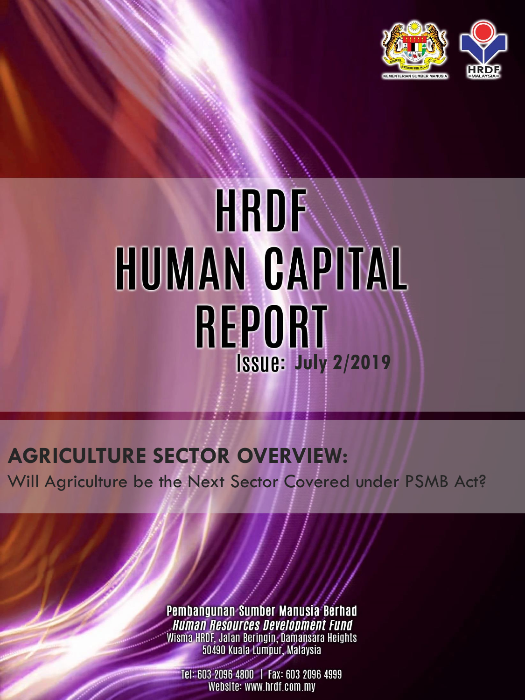

# **HRDF** HUMAN CAPITAL **REPORT July 2/2019**

# **AGRICULTURE SECTOR OVERVIEW:**

Will Agriculture be the Next Sector Covered under PSMB Act?

Pembangunan Sumber Manusia Berhad **Human Resources Development Fund** Wisma HRDF, Jalan Beringin, Damansara Heights<br>50490 Kuala Lumpur, Malaysia

Tel: 603 2096 4800 | Fax: 603 2096 4999 Website: www.hrdf.com.my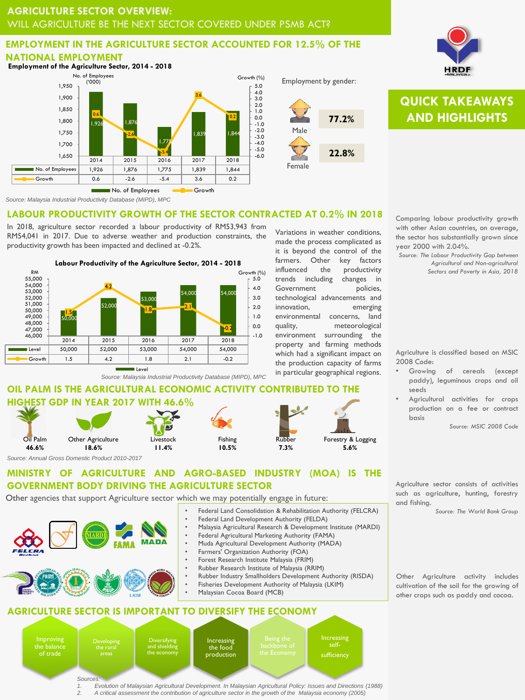#### **EMPLOYMENT IN THE AGRICULTURE SECTOR ACCOUNTED FOR 12.5% OF THE NATIONAL EMPLOYMENT**



Male **77.2%**

Employment by gender:

Variations in weather conditions, made the process complicated as it is beyond the control of the farmers. Other key factors influenced the productivity trends including changes in Government policies, technological advancements and innovation, emerging

**22.8%**

Female



# **QUICK TAKEAWAYS AND HIGHLIGHTS**



In 2018, agriculture sector recorded a labour productivity of RM53,943 from RM54,041 in 2017. Due to adverse weather and production constraints, the productivity growth has been impacted and declined at -0.2%.



*Source: Malaysia Industrial Productivity Database (MIPD), MPC*

# **OIL PALM IS THE AGRICULTURAL ECONOMIC ACTIVITY CONTRIBUTED T HIGHEST GDP IN YEAR 2017 WITH 46.6%**



environmental concerns, land quality, meteorological environment surrounding the property and farming methods which had a significant impact on the production capacity of farms in particular geographical regions.

> Forestry & Logging **5.6%**

with other Asian countries, on average, the sector has substantially grown since year 2000 with 2.04%.

*Source: The Labour Productivity Gap between Agricultural and Non-agricultural Sectors and Poverty in Asia, 2018*

Agriculture is classified based on MSIC 2008 Code:

Growing of cereals (except paddy), leguminous crops and oil seeds

• Agricultural activities for crops production on a fee or contract basis

*Source: MSIC 2008 Code*

Agriculture sector consists of activities such as agriculture, hunting, forestry and fishing.

*Source: The World Bank Group*

Other Agriculture activity includes cultivation of the soil for the growing of other crops such as paddy and cocoa.

#### **MINISTRY OF AGRICULTURE AND AGRO-BASED INDUSTRY (MOA) IS THE GOVERNMENT BODY DRIVING THE AGRICULTURE SECTOR**

Other agencies that support Agriculture sector which we may potentially engage in future:



**Developing** 

- Federal Land Consolidation & Rehabilitation Authority (FELCRA) • Federal Land Development Authority (FELDA)
- Malaysia Agricultural Research & Development Institute (MARDI)
- Federal Agricultural Marketing Authority (FAMA)
- Muda Agricultural Development Authority (MADA)
- Farmers' Organization Authority (FOA)
- Forest Research Institute Malaysia (FRIM)
- Rubber Research Institute of Malaysia (RRIM)
- Rubber Industry Smallholders Development Authority (RISDA)
- Fisheries Development Authority of Malaysia (LKIM)
- Malaysian Cocoa Board (MCB)

## **AGRICULTURE SECTOR IS IMPORTANT TO DIVERSIFY THE ECONOMY**

**Improving** the balance of trade *Sources:*

Diversifying and shielding the economy

Increasing the food production



*1. Evolution of Malaysian Agricultural Development. In Malaysian Agricultural Policy: Issues and Directions (1988) 2. A critical assessment the contribution of agriculture sector in the growth of the Malaysia economy (2005)*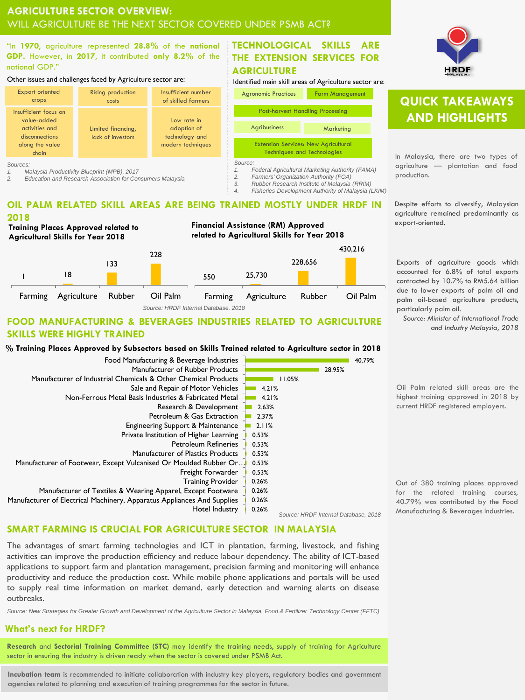"In **1970**, agriculture represented **28.8%** of the **national GDP.** However, in **2017**, it contributed **only 8.2%** of the national GDP."

#### Other issues and challenges faced by Agriculture sector are:



*Sources:* 

*1. Malaysia Productivity Blueprint (MPB), 2017*

*2. Education and Research Association for Consumers Malaysia*

#### **TECHNOLOGICAL SKILLS ARE THE EXTENSION SERVICES FOR AGRICULTURE**

Identified main skill areas of Agriculture sector are:

Agronomic Practices Farm Management



*3. Rubber Research Institute of Malaysia (RRIM)*

*4. Fisheries Development Authority of Malaysia (LKIM)*

#### **OIL PALM RELATED SKILL AREAS ARE BEING TRAINED MOSTLY UNDER HRDF IN 2018**



**Financial Assistance (RM) Approved related to Agricultural Skills for Year 2018**



#### **FOOD MANUFACTURING & BEVERAGES INDUSTRIES RELATED TO AGRICULTURE SKILLS WERE HIGHLY TRAINED**

#### **% Training Places Approved by Subsectors based on Skills Trained related to Agriculture sector in 2018**

| Food Manufacturing & Beverage Industries                                |       |        |                                      | 40.79% |
|-------------------------------------------------------------------------|-------|--------|--------------------------------------|--------|
| Manufacturer of Rubber Products                                         |       |        | 28.95%                               |        |
| Manufacturer of Industrial Chemicals & Other Chemical Products          |       | 11.05% |                                      |        |
| Sale and Repair of Motor Vehicles                                       | 4.21% |        |                                      |        |
| Non-Ferrous Metal Basis Industries & Fabricated Metal                   | 4.21% |        |                                      |        |
| Research & Development                                                  | 2.63% |        |                                      |        |
| Petroleum & Gas Extraction                                              | 2.37% |        |                                      |        |
| Engineering Support & Maintenance                                       | 2.11% |        |                                      |        |
| Private Institution of Higher Learning                                  | 0.53% |        |                                      |        |
| <b>Petroleum Refineries</b>                                             | 0.53% |        |                                      |        |
| <b>Manufacturer of Plastics Products</b>                                | 0.53% |        |                                      |        |
| Manufacturer of Footwear, Except Vulcanised Or Moulded Rubber Or        | 0.53% |        |                                      |        |
| Freight Forwarder                                                       | 0.53% |        |                                      |        |
| <b>Training Provider</b>                                                | 0.26% |        |                                      |        |
| Manufacturer of Textiles & Wearing Apparel, Except Footware             | 0.26% |        |                                      |        |
| Manufacturer of Electrical Machinery, Apparatus Appliances And Supplies | 0.26% |        |                                      |        |
| Hotel Industry                                                          | 0.26% |        |                                      |        |
|                                                                         |       |        | Source: HRDF Internal Database, 2018 |        |

#### **SMART FARMING IS CRUCIAL FOR AGRICULTURE SECTOR IN MALAYSIA**

The advantages of smart farming technologies and ICT in plantation, farming, livestock, and fishing activities can improve the production efficiency and reduce labour dependency. The ability of ICT-based applications to support farm and plantation management, precision farming and monitoring will enhance productivity and reduce the production cost. While mobile phone applications and portals will be used to supply real time information on market demand, early detection and warning alerts on disease outbreaks.

*Source: New Strategies for Greater Growth and Development of the Agriculture Sector in Malaysia, Food & Fertilizer Technology Center (FFTC)*

#### **What's next for HRDF?**

**Research** and **Sectorial Training Committee (STC)** may identify the training needs, supply of training for Agriculture sector in ensuring the industry is driven ready when the sector is covered under PSMB Act.

**Incubation team** is recommended to initiate collaboration with industry key players, regulatory bodies and government agencies related to planning and execution of training programmes for the sector in future.



# **QUICK TAKEAWAYS AND HIGHLIGHTS**

In Malaysia, there are two types of agriculture — plantation and food production.

Despite efforts to diversify, Malaysian agriculture remained predominantly as export-oriented.

Exports of agriculture goods which accounted for 6.8% of total exports contracted by 10.7% to RM5.64 billion due to lower exports of palm oil and palm oil-based agriculture products, particularly palm oil.

*Source: Minister of International Trade and Industry Malaysia, 2018*

Oil Palm related skill areas are the highest training approved in 2018 by current HRDF registered employers.

Out of 380 training places approved for the related training courses, 40.79% was contributed by the Food Manufacturing & Beverages Industries.